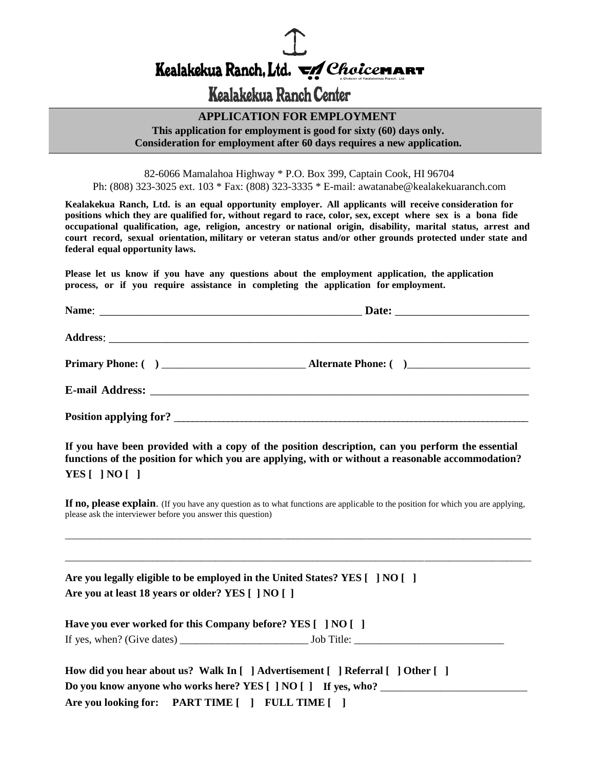Kealakekua Ranch, Ltd. VA Choicemar

## Kealakekua Ranch Center

#### **APPLICATION FOR EMPLOYMENT**

**This application for employment is good for sixty (60) days only. Consideration for employment after 60 days requires a new application.**

82-6066 Mamalahoa Highway \* P.O. Box 399, Captain Cook, HI 96704 Ph: (808) 323-3025 ext. 103 \* Fax: (808) 323-3335 \* E-mail: awatanabe@kealakekuaranch.com

**Kealakekua Ranch, Ltd. is an equal opportunity employer. All applicants will receive consideration for positions which they are qualified for, without regard to race, color, sex, except where sex is a bona fide occupational qualification, age, religion, ancestry or national origin, disability, marital status, arrest and court record, sexual orientation, military or veteran status and/or other grounds protected under state and federal equal opportunity laws.**

**Please let us know if you have any questions about the employment application, the application process, or if you require assistance in completing the application for employment.**

**If you have been provided with a copy of the position description, can you perform the essential functions of the position for which you are applying, with or without a reasonable accommodation? YES [ ] NO [ ]**

**If no, please explain**. (If you have any question as to what functions are applicable to the position for which you are applying, please ask the interviewer before you answer this question)

\_\_\_\_\_\_\_\_\_\_\_\_\_\_\_\_\_\_\_\_\_\_\_\_\_\_\_\_\_\_\_\_\_\_\_\_\_\_\_\_\_\_\_\_\_\_\_\_\_\_\_\_\_\_\_\_\_\_\_\_\_\_\_\_\_\_\_\_\_\_\_\_\_\_\_\_\_\_\_\_\_\_\_\_\_\_\_\_\_\_\_\_\_\_\_\_

\_\_\_\_\_\_\_\_\_\_\_\_\_\_\_\_\_\_\_\_\_\_\_\_\_\_\_\_\_\_\_\_\_\_\_\_\_\_\_\_\_\_\_\_\_\_\_\_\_\_\_\_\_\_\_\_\_\_\_\_\_\_\_\_\_\_\_\_\_\_\_\_\_\_\_\_\_\_\_\_\_\_\_\_\_\_\_\_\_\_\_\_\_\_\_\_

**Are you legally eligible to be employed in the United States? YES [ ] NO [ ] Are you at least 18 years or older? YES [ ] NO [ ]**

**Have you ever worked for this Company before? YES [ ] NO [ ]** If yes, when? (Give dates) \_\_\_\_\_\_\_\_\_\_\_\_\_\_\_\_\_\_\_\_\_\_\_\_ Job Title: \_\_\_\_\_\_\_\_\_\_\_\_\_\_\_\_\_\_\_\_\_\_\_\_\_\_\_\_

| How did you hear about us? Walk In $\lceil \ \rceil$ Advertisement $\lceil \ \rceil$ Referral $\lceil \ \rceil$ Other $\lceil \ \rceil$ |
|-----------------------------------------------------------------------------------------------------------------------------------------|
| Do you know anyone who works here? YES [ ] NO [ ] If yes, who?                                                                          |
| Are you looking for: PART TIME [] FULL TIME []                                                                                          |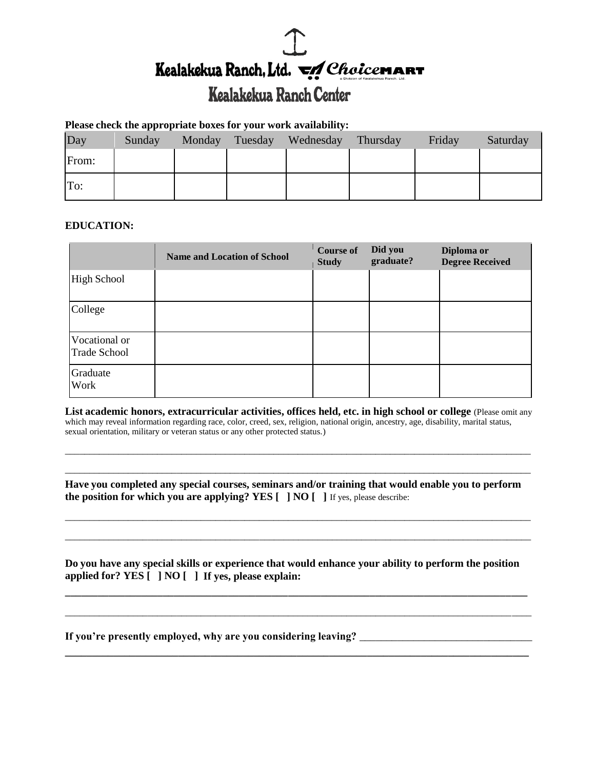# Kealakekua Ranch, Ltd. VA Choicemar

## Kealakekua Ranch Center

#### **Please check the appropriate boxes for your work availability:**

| Day   | Sunday | Monday | Tuesday | Wednesday | Thursday | Friday | Saturday |
|-------|--------|--------|---------|-----------|----------|--------|----------|
| From: |        |        |         |           |          |        |          |
| To:   |        |        |         |           |          |        |          |

#### **EDUCATION:**

|                                      | <b>Name and Location of School</b> | <b>Course of</b><br><b>Study</b> | Did you<br>graduate? | Diploma or<br><b>Degree Received</b> |
|--------------------------------------|------------------------------------|----------------------------------|----------------------|--------------------------------------|
| <b>High School</b>                   |                                    |                                  |                      |                                      |
| College                              |                                    |                                  |                      |                                      |
| Vocational or<br><b>Trade School</b> |                                    |                                  |                      |                                      |
| Graduate<br>Work                     |                                    |                                  |                      |                                      |

**List academic honors, extracurricular activities, offices held, etc. in high school or college** (Please omit any which may reveal information regarding race, color, creed, sex, religion, national origin, ancestry, age, disability, marital status, sexual orientation, military or veteran status or any other protected status.)

\_\_\_\_\_\_\_\_\_\_\_\_\_\_\_\_\_\_\_\_\_\_\_\_\_\_\_\_\_\_\_\_\_\_\_\_\_\_\_\_\_\_\_\_\_\_\_\_\_\_\_\_\_\_\_\_\_\_\_\_\_\_\_\_\_\_\_\_\_\_\_\_\_\_\_\_\_\_\_\_\_\_\_\_\_\_\_\_\_\_\_\_\_\_\_\_ \_\_\_\_\_\_\_\_\_\_\_\_\_\_\_\_\_\_\_\_\_\_\_\_\_\_\_\_\_\_\_\_\_\_\_\_\_\_\_\_\_\_\_\_\_\_\_\_\_\_\_\_\_\_\_\_\_\_\_\_\_\_\_\_\_\_\_\_\_\_\_\_\_\_\_\_\_\_\_\_\_\_\_\_\_\_\_\_\_\_\_\_\_\_\_\_

**Have you completed any special courses, seminars and/or training that would enable you to perform the position for which you are applying? YES [ ] NO [ ]** If yes, please describe:

\_\_\_\_\_\_\_\_\_\_\_\_\_\_\_\_\_\_\_\_\_\_\_\_\_\_\_\_\_\_\_\_\_\_\_\_\_\_\_\_\_\_\_\_\_\_\_\_\_\_\_\_\_\_\_\_\_\_\_\_\_\_\_\_\_\_\_\_\_\_\_\_\_\_\_\_\_\_\_\_\_\_\_\_\_\_\_\_\_\_\_\_\_\_\_\_

\_\_\_\_\_\_\_\_\_\_\_\_\_\_\_\_\_\_\_\_\_\_\_\_\_\_\_\_\_\_\_\_\_\_\_\_\_\_\_\_\_\_\_\_\_\_\_\_\_\_\_\_\_\_\_\_\_\_\_\_\_\_\_\_\_\_\_\_\_\_\_\_\_\_\_\_\_\_\_\_\_\_\_\_\_\_\_\_\_\_\_\_\_\_\_\_

**Do you have any special skills or experience that would enhance your ability to perform the position applied for? YES [ ] NO [ ] If yes, please explain:**

**\_\_\_\_\_\_\_\_\_\_\_\_\_\_\_\_\_\_\_\_\_\_\_\_\_\_\_\_\_\_\_\_\_\_\_\_\_\_\_\_\_\_\_\_\_\_\_\_\_\_\_\_\_\_\_\_\_\_\_\_\_\_\_\_\_\_\_\_\_\_\_\_\_\_\_\_\_\_\_\_\_\_\_\_\_**

\_\_\_\_\_\_\_\_\_\_\_\_\_\_\_\_\_\_\_\_\_\_\_\_\_\_\_\_\_\_\_\_\_\_\_\_\_\_\_\_\_\_\_\_\_\_\_\_\_\_\_\_\_\_\_\_\_\_\_\_\_\_\_\_\_\_\_\_\_\_\_\_\_\_\_\_\_\_\_\_\_\_\_\_\_\_\_\_\_\_\_\_\_\_\_\_

**\_\_\_\_\_\_\_\_\_\_\_\_\_\_\_\_\_\_\_\_\_\_\_\_\_\_\_\_\_\_\_\_\_\_\_\_\_\_\_\_\_\_\_\_\_\_\_\_\_\_\_\_\_\_\_\_\_\_\_\_\_\_\_\_\_\_\_\_\_\_\_\_\_\_\_\_\_\_\_\_\_\_\_\_\_\_**

**If you're presently employed, why are you considering leaving?** \_\_\_\_\_\_\_\_\_\_\_\_\_\_\_\_\_\_\_\_\_\_\_\_\_\_\_\_\_\_\_\_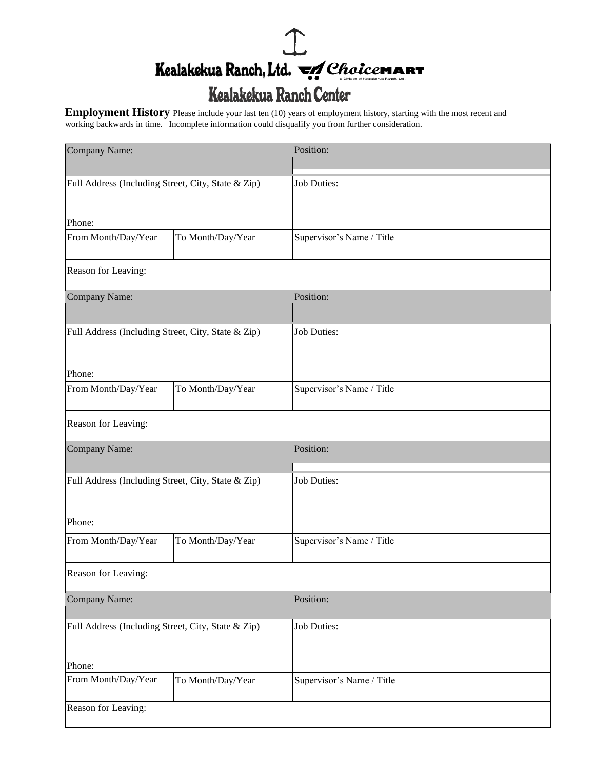## $\mathbb{I}$ Kealakekua Ranch, Ltd. VAChoicemar

## Kealakekua Ranch Center

**Employment History** Please include your last ten (10) years of employment history, starting with the most recent and working backwards in time. Incomplete information could disqualify you from further consideration.

| Company Name:                                      |                   | Position:                 |  |  |
|----------------------------------------------------|-------------------|---------------------------|--|--|
| Full Address (Including Street, City, State & Zip) |                   | Job Duties:               |  |  |
| Phone:<br>From Month/Day/Year                      | To Month/Day/Year | Supervisor's Name / Title |  |  |
|                                                    |                   |                           |  |  |
| Reason for Leaving:                                |                   |                           |  |  |
| Company Name:                                      |                   | Position:                 |  |  |
| Full Address (Including Street, City, State & Zip) |                   | <b>Job Duties:</b>        |  |  |
| Phone:                                             |                   |                           |  |  |
| From Month/Day/Year                                | To Month/Day/Year | Supervisor's Name / Title |  |  |
| Reason for Leaving:                                |                   |                           |  |  |
| Company Name:                                      |                   | Position:                 |  |  |
| Full Address (Including Street, City, State & Zip) |                   | Job Duties:               |  |  |
|                                                    |                   |                           |  |  |
| Phone:                                             |                   |                           |  |  |
| From Month/Day/Year                                | To Month/Day/Year | Supervisor's Name / Title |  |  |
| Reason for Leaving:                                |                   |                           |  |  |
| Company Name:                                      |                   | Position:                 |  |  |
| Full Address (Including Street, City, State & Zip) |                   | Job Duties:               |  |  |
| Phone:                                             |                   |                           |  |  |
| From Month/Day/Year                                | To Month/Day/Year | Supervisor's Name / Title |  |  |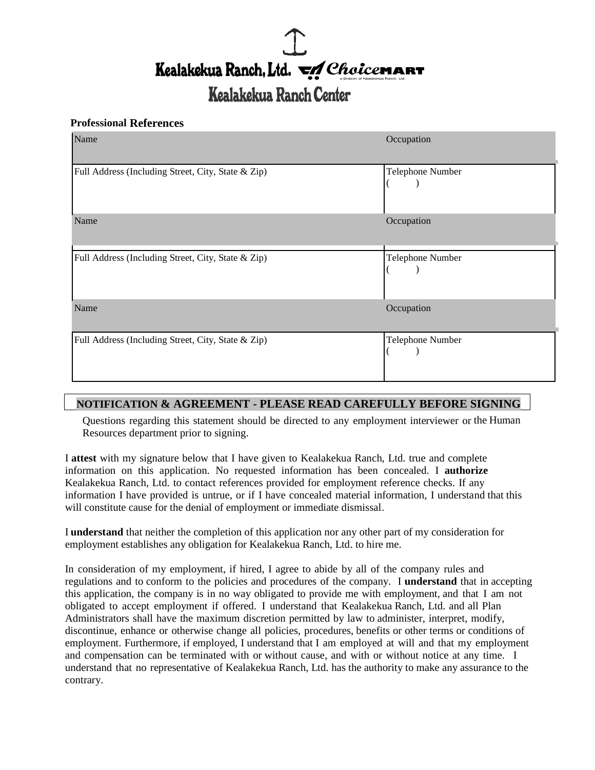# Kealakekua Ranch, Ltd. VA Choicemar

## Kealakekua Ranch Center

#### **Professional References**

| Name                                               | Occupation       |
|----------------------------------------------------|------------------|
| Full Address (Including Street, City, State & Zip) | Telephone Number |
| Name                                               | Occupation       |
| Full Address (Including Street, City, State & Zip) | Telephone Number |
| Name                                               | Occupation       |
| Full Address (Including Street, City, State & Zip) | Telephone Number |

### **NOTIFICATION & AGREEMENT - PLEASE READ CAREFULLY BEFORE SIGNING**

Questions regarding this statement should be directed to any employment interviewer or the Human Resources department prior to signing.

I **attest** with my signature below that I have given to Kealakekua Ranch, Ltd. true and complete information on this application. No requested information has been concealed. I **authorize** Kealakekua Ranch, Ltd. to contact references provided for employment reference checks. If any information I have provided is untrue, or if I have concealed material information, I understand that this will constitute cause for the denial of employment or immediate dismissal.

I **understand** that neither the completion of this application nor any other part of my consideration for employment establishes any obligation for Kealakekua Ranch, Ltd. to hire me.

In consideration of my employment, if hired, I agree to abide by all of the company rules and regulations and to conform to the policies and procedures of the company. I **understand** that in accepting this application, the company is in no way obligated to provide me with employment, and that I am not obligated to accept employment if offered. I understand that Kealakekua Ranch, Ltd. and all Plan Administrators shall have the maximum discretion permitted by law to administer, interpret, modify, discontinue, enhance or otherwise change all policies, procedures, benefits or other terms or conditions of employment. Furthermore, if employed, I understand that I am employed at will and that my employment and compensation can be terminated with or without cause, and with or without notice at any time. I understand that no representative of Kealakekua Ranch, Ltd. has the authority to make any assurance to the contrary.